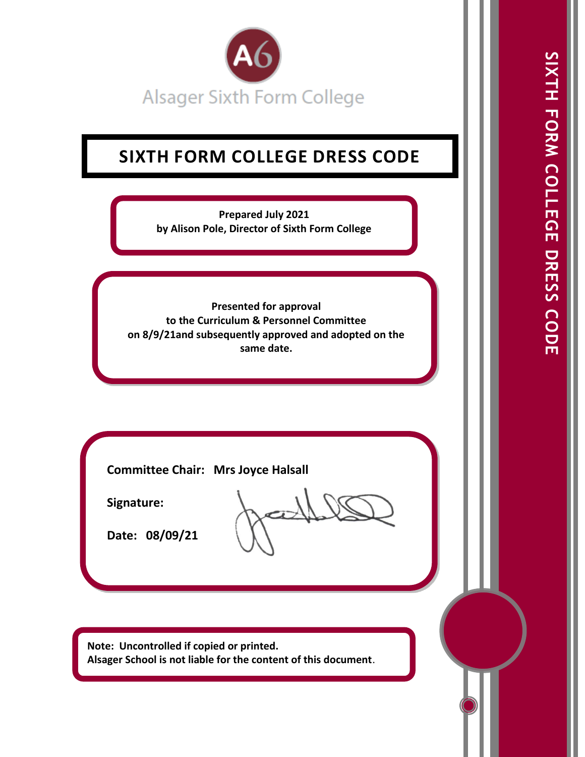

# **SIXTH FORM COLLEGE DRESS CODE**

**Prepared July 2021 by Alison Pole, Director of Sixth Form College**

**Presented for approval to the Curriculum & Personnel Committee on 8/9/21and subsequently approved and adopted on the same date.**

**Committee Chair: Mrs Joyce Halsall**

**Signature:** 

**Date: 08/09/21** 

**Note: Uncontrolled if copied or printed. Alsager School is not liable for the content of this document**.